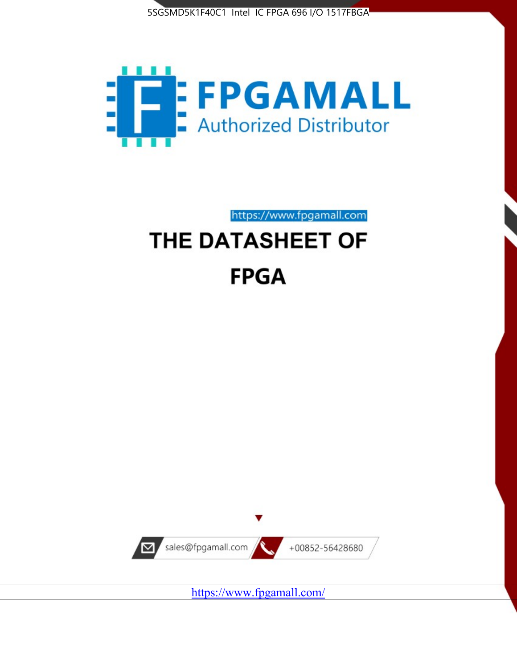



https://www.fpgamall.com

# THE DATASHEET OF **FPGA**



<https://www.fpgamall.com/>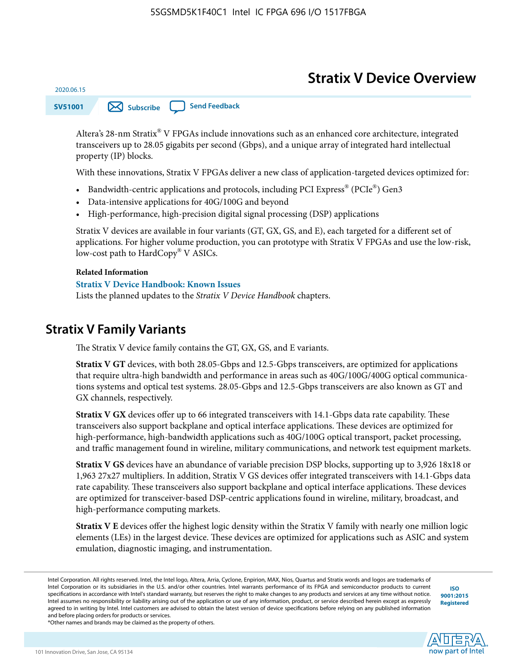# **Stratix V Device Overview**

**SV51001 [Subscribe](https://www.altera.com/servlets/subscriptions/alert?id=SV51001) [Send Feedback](mailto:FPGAtechdocfeedback@intel.com?subject=Feedback%20on%20(SV51001%202020.06.15)%20Stratix%20V%20Device%20Overview&body=We%20appreciate%20your%20feedback.%20In%20your%20comments,%20also%20specify%20the%20page%20number%20or%20paragraph.%20Thank%20you.)** 

Altera's 28-nm Stratix® V FPGAs include innovations such as an enhanced core architecture, integrated transceivers up to 28.05 gigabits per second (Gbps), and a unique array of integrated hard intellectual property (IP) blocks.

With these innovations, Stratix V FPGAs deliver a new class of application-targeted devices optimized for:

- Bandwidth-centric applications and protocols, including PCI Express® (PCIe®) Gen3
- Data-intensive applications for 40G/100G and beyond
- High-performance, high-precision digital signal processing (DSP) applications

Stratix V devices are available in four variants (GT, GX, GS, and E), each targeted for a different set of applications. For higher volume production, you can prototype with Stratix V FPGAs and use the low-risk, low-cost path to HardCopy® V ASICs.

#### **Related Information**

2020.06.15

#### **[Stratix V Device Handbook: Known Issues](http://www.altera.com/support/kdb/solutions/rd08242010_83.html)**

Lists the planned updates to the *Stratix V Device Handbook* chapters.

# **Stratix V Family Variants**

The Stratix V device family contains the GT, GX, GS, and E variants.

**Stratix V GT** devices, with both 28.05-Gbps and 12.5-Gbps transceivers, are optimized for applications that require ultra-high bandwidth and performance in areas such as 40G/100G/400G optical communica‐ tions systems and optical test systems. 28.05-Gbps and 12.5-Gbps transceivers are also known as GT and GX channels, respectively.

**Stratix V GX** devices offer up to 66 integrated transceivers with 14.1-Gbps data rate capability. These transceivers also support backplane and optical interface applications. These devices are optimized for high-performance, high-bandwidth applications such as 40G/100G optical transport, packet processing, and traffic management found in wireline, military communications, and network test equipment markets.

**Stratix V GS** devices have an abundance of variable precision DSP blocks, supporting up to 3,926 18x18 or 1,963 27x27 multipliers. In addition, Stratix V GS devices offer integrated transceivers with 14.1-Gbps data rate capability. These transceivers also support backplane and optical interface applications. These devices are optimized for transceiver-based DSP-centric applications found in wireline, military, broadcast, and high-performance computing markets.

**Stratix V E** devices offer the highest logic density within the Stratix V family with nearly one million logic elements (LEs) in the largest device. These devices are optimized for applications such as ASIC and system emulation, diagnostic imaging, and instrumentation.

**[ISO](http://www.altera.com/support/devices/reliability/certifications/rel-certifications.html) [9001:2015](http://www.altera.com/support/devices/reliability/certifications/rel-certifications.html) [Registered](http://www.altera.com/support/devices/reliability/certifications/rel-certifications.html)**



Intel Corporation. All rights reserved. Intel, the Intel logo, Altera, Arria, Cyclone, Enpirion, MAX, Nios, Quartus and Stratix words and logos are trademarks of Intel Corporation or its subsidiaries in the U.S. and/or other countries. Intel warrants performance of its FPGA and semiconductor products to current specifications in accordance with Intel's standard warranty, but reserves the right to make changes to any products and services at any time without notice. Intel assumes no responsibility or liability arising out of the application or use of any information, product, or service described herein except as expressly agreed to in writing by Intel. Intel customers are advised to obtain the latest version of device specifications before relying on any published information and before placing orders for products or services.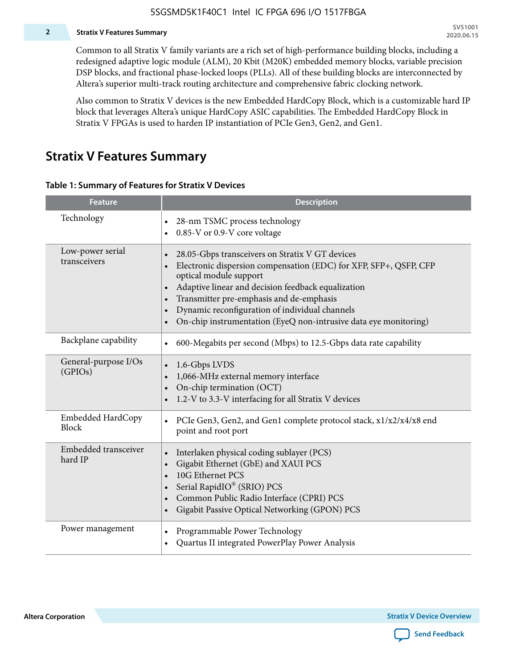#### **2 Stratix V Features Summary**

Common to all Stratix V family variants are a rich set of high-performance building blocks, including a redesigned adaptive logic module (ALM), 20 Kbit (M20K) embedded memory blocks, variable precision DSP blocks, and fractional phase-locked loops (PLLs). All of these building blocks are interconnected by Altera's superior multi-track routing architecture and comprehensive fabric clocking network.

Also common to Stratix V devices is the new Embedded HardCopy Block, which is a customizable hard IP block that leverages Altera's unique HardCopy ASIC capabilities. The Embedded HardCopy Block in Stratix V FPGAs is used to harden IP instantiation of PCIe Gen3, Gen2, and Gen1.

# **Stratix V Features Summary**

#### **Table 1: Summary of Features for Stratix V Devices**

| <b>Feature</b>                    | <b>Description</b>                                                                                                                                                                                                                                                                                                                                                                                                         |
|-----------------------------------|----------------------------------------------------------------------------------------------------------------------------------------------------------------------------------------------------------------------------------------------------------------------------------------------------------------------------------------------------------------------------------------------------------------------------|
| Technology                        | 28-nm TSMC process technology<br>0.85-V or 0.9-V core voltage                                                                                                                                                                                                                                                                                                                                                              |
| Low-power serial<br>transceivers  | 28.05-Gbps transceivers on Stratix V GT devices<br>$\bullet$<br>Electronic dispersion compensation (EDC) for XFP, SFP+, QSFP, CFP<br>optical module support<br>Adaptive linear and decision feedback equalization<br>$\bullet$<br>Transmitter pre-emphasis and de-emphasis<br>Dynamic reconfiguration of individual channels<br>$\bullet$<br>On-chip instrumentation (EyeQ non-intrusive data eye monitoring)<br>$\bullet$ |
| Backplane capability              | 600-Megabits per second (Mbps) to 12.5-Gbps data rate capability<br>$\bullet$                                                                                                                                                                                                                                                                                                                                              |
| General-purpose I/Os<br>(GPIOs)   | 1.6-Gbps LVDS<br>1,066-MHz external memory interface<br>$\bullet$<br>On-chip termination (OCT)<br>$\bullet$<br>1.2-V to 3.3-V interfacing for all Stratix V devices                                                                                                                                                                                                                                                        |
| Embedded HardCopy<br><b>Block</b> | PCIe Gen3, Gen2, and Gen1 complete protocol stack, x1/x2/x4/x8 end<br>$\bullet$<br>point and root port                                                                                                                                                                                                                                                                                                                     |
| Embedded transceiver<br>hard IP   | Interlaken physical coding sublayer (PCS)<br>$\bullet$<br>Gigabit Ethernet (GbE) and XAUI PCS<br>$\bullet$<br>10G Ethernet PCS<br>Serial RapidIO® (SRIO) PCS<br>$\bullet$<br>Common Public Radio Interface (CPRI) PCS<br>$\bullet$<br>Gigabit Passive Optical Networking (GPON) PCS<br>$\bullet$                                                                                                                           |
| Power management                  | Programmable Power Technology<br>$\bullet$<br>Quartus II integrated PowerPlay Power Analysis<br>$\bullet$                                                                                                                                                                                                                                                                                                                  |

**Altera Corporation** 

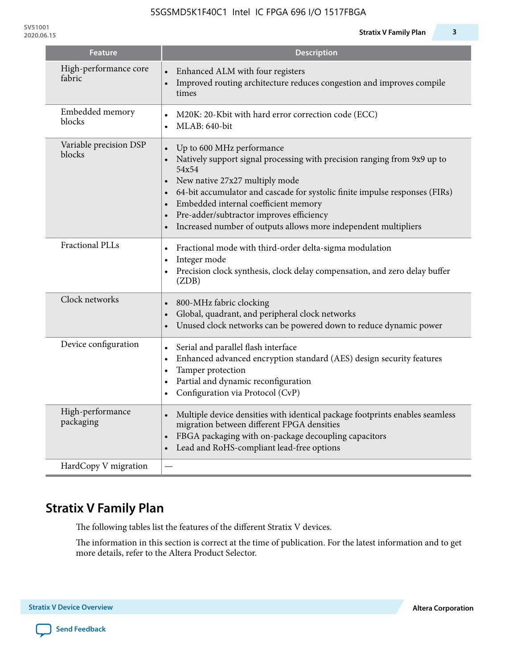| <b>Feature</b>                   | <b>Description</b>                                                                                                                                                                                                                                                                                                                                                                                                                                                   |
|----------------------------------|----------------------------------------------------------------------------------------------------------------------------------------------------------------------------------------------------------------------------------------------------------------------------------------------------------------------------------------------------------------------------------------------------------------------------------------------------------------------|
| High-performance core<br>fabric  | Enhanced ALM with four registers<br>Improved routing architecture reduces congestion and improves compile<br>times                                                                                                                                                                                                                                                                                                                                                   |
| Embedded memory<br>blocks        | M20K: 20-Kbit with hard error correction code (ECC)<br>$\bullet$<br>MLAB: 640-bit                                                                                                                                                                                                                                                                                                                                                                                    |
| Variable precision DSP<br>blocks | Up to 600 MHz performance<br>$\bullet$<br>Natively support signal processing with precision ranging from 9x9 up to<br>54x54<br>New native 27x27 multiply mode<br>$\bullet$<br>64-bit accumulator and cascade for systolic finite impulse responses (FIRs)<br>$\bullet$<br>Embedded internal coefficient memory<br>$\bullet$<br>Pre-adder/subtractor improves efficiency<br>$\bullet$<br>Increased number of outputs allows more independent multipliers<br>$\bullet$ |
| <b>Fractional PLLs</b>           | Fractional mode with third-order delta-sigma modulation<br>$\bullet$<br>Integer mode<br>$\bullet$<br>Precision clock synthesis, clock delay compensation, and zero delay buffer<br>$\bullet$<br>(ZDB)                                                                                                                                                                                                                                                                |
| Clock networks                   | 800-MHz fabric clocking<br>$\bullet$<br>Global, quadrant, and peripheral clock networks<br>$\bullet$<br>Unused clock networks can be powered down to reduce dynamic power<br>$\bullet$                                                                                                                                                                                                                                                                               |
| Device configuration             | Serial and parallel flash interface<br>$\bullet$<br>Enhanced advanced encryption standard (AES) design security features<br>$\bullet$<br>Tamper protection<br>$\bullet$<br>Partial and dynamic reconfiguration<br>$\bullet$<br>Configuration via Protocol (CvP)<br>$\bullet$                                                                                                                                                                                         |
| High-performance<br>packaging    | Multiple device densities with identical package footprints enables seamless<br>$\bullet$<br>migration between different FPGA densities<br>FBGA packaging with on-package decoupling capacitors<br>$\bullet$<br>Lead and RoHS-compliant lead-free options                                                                                                                                                                                                            |
| HardCopy V migration             |                                                                                                                                                                                                                                                                                                                                                                                                                                                                      |

# **Stratix V Family Plan**

The following tables list the features of the different Stratix V devices.

The information in this section is correct at the time of publication. For the latest information and to get more details, refer to the Altera Product Selector.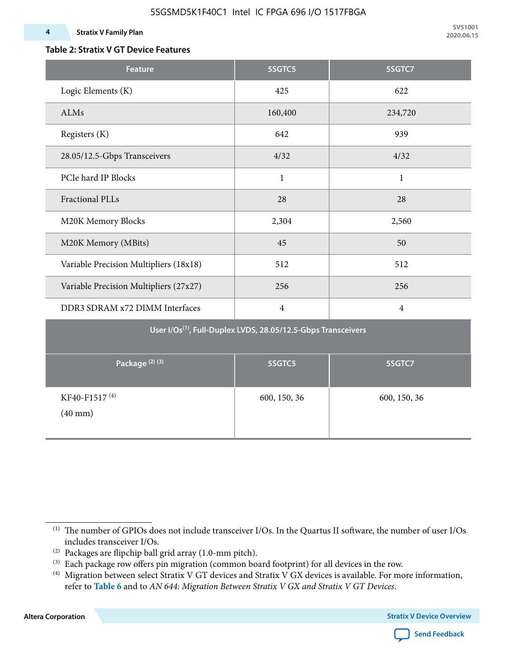### **Table 2: Stratix V GT Device Features**

| <b>Feature</b>                            | 5SGTC5                                                                    | 5SGTC7         |
|-------------------------------------------|---------------------------------------------------------------------------|----------------|
| Logic Elements (K)                        | 425                                                                       | 622            |
| ALMs                                      | 160,400                                                                   | 234,720        |
| Registers (K)                             | 642                                                                       | 939            |
| 28.05/12.5-Gbps Transceivers              | 4/32                                                                      | 4/32           |
| PCIe hard IP Blocks                       | $\mathbf{1}$                                                              | $\mathbf{1}$   |
| <b>Fractional PLLs</b>                    | 28                                                                        | 28             |
| M20K Memory Blocks                        | 2,304                                                                     | 2,560          |
| M20K Memory (MBits)                       | 45                                                                        | 50             |
| Variable Precision Multipliers (18x18)    | 512                                                                       | 512            |
| Variable Precision Multipliers (27x27)    | 256                                                                       | 256            |
| DDR3 SDRAM x72 DIMM Interfaces            | $\overline{4}$                                                            | $\overline{4}$ |
|                                           | User I/Os <sup>(1)</sup> , Full-Duplex LVDS, 28.05/12.5-Gbps Transceivers |                |
| Package <sup>(2)(3)</sup>                 | 5SGTC5                                                                    | 5SGTC7         |
| KF40-F1517 <sup>(4)</sup><br>$(40$ mm $)$ | 600, 150, 36                                                              | 600, 150, 36   |

**Altera Corporation** 



<sup>(1)</sup> The number of GPIOs does not include transceiver I/Os. In the Quartus II software, the number of user I/Os includes transceiver I/Os.

 $^{(2)}$  Packages are flipchip ball grid array (1.0-mm pitch).

<sup>(3)</sup> Each package row offers pin migration (common board footprint) for all devices in the row.

<sup>(4)</sup> Migration between select Stratix V GT devices and Stratix V GX devices is available. For more information, refer to **Table 6** and to *AN 644: Migration Between Stratix V GX and Stratix V GT Devices*.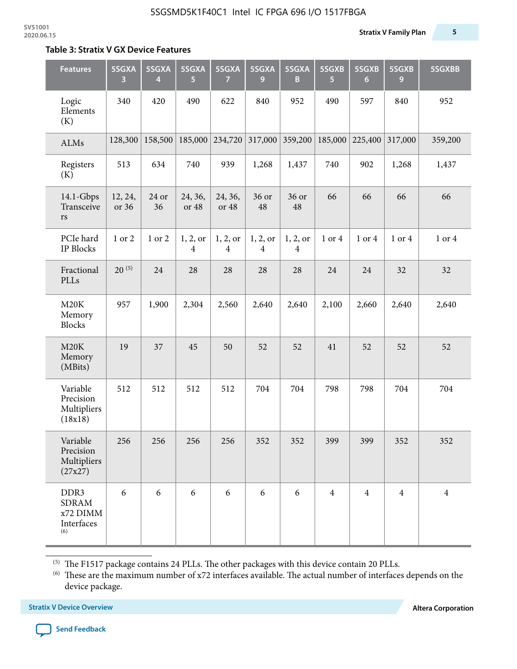#### **Table 3: Stratix V GX Device Features**

| <b>Features</b>                                                   | 5SGXA<br>3       | 5SGXA<br>4  | 5SGXA<br>5                 | 5SGXA<br>7                 | 5SGXA<br>9                 | 5SGXA<br>B                 | 5SGXB<br>5     | 5SGXB<br>$6\phantom{1}6$ | 5SGXB<br>9     | 5SGXBB         |
|-------------------------------------------------------------------|------------------|-------------|----------------------------|----------------------------|----------------------------|----------------------------|----------------|--------------------------|----------------|----------------|
| Logic<br>Elements<br>(K)                                          | 340              | 420         | 490                        | 622                        | 840                        | 952                        | 490            | 597                      | 840            | 952            |
| ALMs                                                              | 128,300          | 158,500     | 185,000                    | 234,720                    | 317,000                    | 359,200                    | 185,000        | 225,400                  | 317,000        | 359,200        |
| Registers<br>(K)                                                  | 513              | 634         | 740                        | 939                        | 1,268                      | 1,437                      | 740            | 902                      | 1,268          | 1,437          |
| $14.1$ -Gbps<br>Transceive<br>rs                                  | 12, 24,<br>or 36 | 24 or<br>36 | 24, 36,<br>or 48           | 24, 36,<br>or 48           | 36 or<br>48                | 36 or<br>48                | 66             | 66                       | 66             | 66             |
| PCIe hard<br><b>IP Blocks</b>                                     | 1 or 2           | 1 or 2      | 1, 2, 0r<br>$\overline{4}$ | 1, 2, or<br>$\overline{4}$ | 1, 2, or<br>$\overline{4}$ | 1, 2, or<br>$\overline{4}$ | 1 or 4         | 1 or 4                   | 1 or 4         | 1 or 4         |
| Fractional<br>PLLs                                                | $20^{(5)}$       | 24          | 28                         | 28                         | 28                         | 28                         | 24             | 24                       | 32             | 32             |
| M20K<br>Memory<br><b>Blocks</b>                                   | 957              | 1,900       | 2,304                      | 2,560                      | 2,640                      | 2,640                      | 2,100          | 2,660                    | 2,640          | 2,640          |
| M20K<br>Memory<br>(MBits)                                         | 19               | 37          | 45                         | 50                         | 52                         | 52                         | 41             | 52                       | 52             | 52             |
| Variable<br>Precision<br>Multipliers<br>(18x18)                   | 512              | 512         | 512                        | 512                        | 704                        | 704                        | 798            | 798                      | 704            | 704            |
| Variable<br>Precision<br>Multipliers<br>(27x27)                   | 256              | 256         | 256                        | 256                        | 352                        | 352                        | 399            | 399                      | 352            | 352            |
| DDR <sub>3</sub><br><b>SDRAM</b><br>x72 DIMM<br>Interfaces<br>(6) | 6                | 6           | 6                          | 6                          | 6                          | 6                          | $\overline{4}$ | $\overline{4}$           | $\overline{4}$ | $\overline{4}$ |

 $^{\left(5\right)}$  The F1517 package contains 24 PLLs. The other packages with this device contain 20 PLLs.

(6) These are the maximum number of x72 interfaces available. The actual number of interfaces depends on the device package.

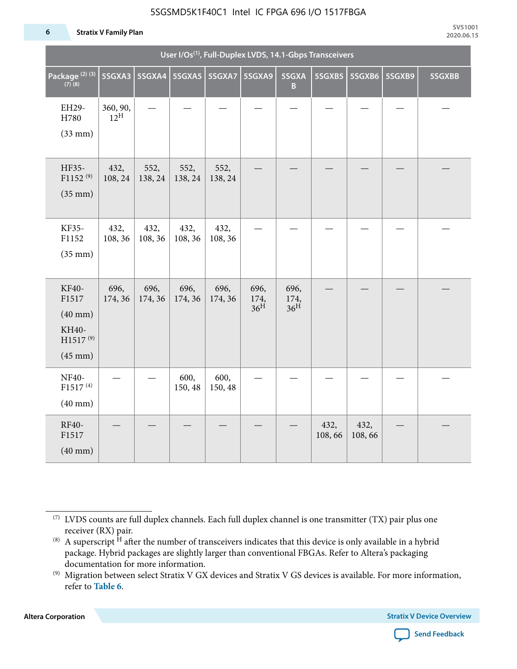#### **6 Stratix V Family Plan**

|                                                                                      |                             |                 |                 |                 | User I/Os <sup>(1)</sup> , Full-Duplex LVDS, 14.1-Gbps Transceivers |                                 |                |                |        |        |
|--------------------------------------------------------------------------------------|-----------------------------|-----------------|-----------------|-----------------|---------------------------------------------------------------------|---------------------------------|----------------|----------------|--------|--------|
| Package <sup>(2)(3)</sup><br>$(7)$ (8)                                               | 5SGXA3                      |                 |                 |                 | 5SGXA9                                                              | 5SGXA<br>B                      | 5SGXB5         | 5SGXB6         | 5SGXB9 | 5SGXBB |
| EH29-<br>H780<br>$(33$ mm $)$                                                        | 360, 90,<br>$12^{\text{H}}$ |                 |                 |                 |                                                                     |                                 |                |                |        |        |
| HF35-<br>$F1152^{(9)}$<br>$(35$ mm $)$                                               | 432,<br>108, 24             | 552,<br>138, 24 | 552,<br>138, 24 | 552,<br>138, 24 |                                                                     |                                 |                |                |        |        |
| KF35-<br>F1152<br>$(35$ mm $)$                                                       | 432,<br>108, 36             | 432,<br>108, 36 | 432,<br>108, 36 | 432,<br>108, 36 |                                                                     |                                 |                |                |        |        |
| KF40-<br>F1517<br>$(40$ mm $)$<br>KH40-<br>H1517 <sup>(9)</sup><br>$(45 \text{ mm})$ | 696,<br>174, 36             | 696,<br>174, 36 | 696,<br>174, 36 | 696,<br>174, 36 | 696,<br>174,<br>36 <sup>H</sup>                                     | 696,<br>174,<br>36 <sup>H</sup> |                |                |        |        |
| NF40-<br>F1517 <sup>(4)</sup><br>$(40$ mm $)$                                        |                             |                 | 600,<br>150, 48 | 600,<br>150, 48 |                                                                     |                                 |                |                |        |        |
| RF40-<br>F1517<br>$(40$ mm $)$                                                       |                             |                 |                 |                 |                                                                     |                                 | 432,<br>108,66 | 432,<br>108,66 |        |        |

**Altera Corporation** 



<sup>(7)</sup> LVDS counts are full duplex channels. Each full duplex channel is one transmitter (TX) pair plus one receiver (RX) pair.

<sup>(8)</sup> A superscript  $H$  after the number of transceivers indicates that this device is only available in a hybrid package. Hybrid packages are slightly larger than conventional FBGAs. Refer to Altera's packaging documentation for more information.

<sup>(9)</sup> Migration between select Stratix V GX devices and Stratix V GS devices is available. For more information, refer to **Table 6**.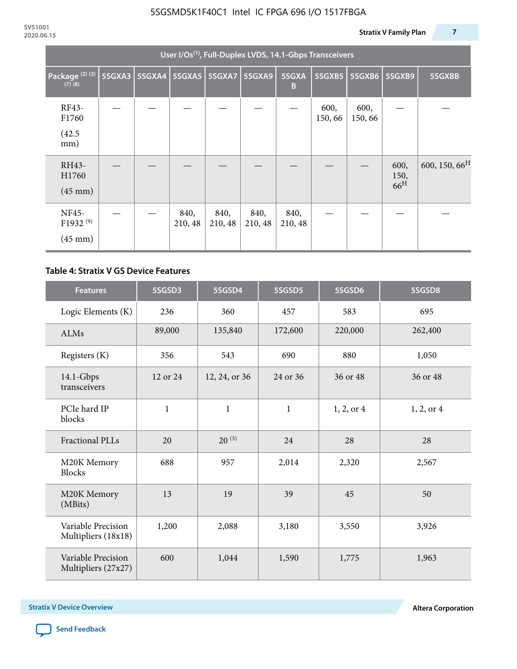|                                                           | User I/Os <sup>(1)</sup> , Full-Duplex LVDS, 14.1-Gbps Transceivers |  |                 |                 |                 |                 |                |                |                                 |                           |  |  |
|-----------------------------------------------------------|---------------------------------------------------------------------|--|-----------------|-----------------|-----------------|-----------------|----------------|----------------|---------------------------------|---------------------------|--|--|
| Package <sup>(2)(3)</sup><br>$(7)$ $(8)$                  | 5SGXA3                                                              |  | 5SGXA4 5SGXA5   | 5SGXA7          | 5SGXA9          | 5SGXA<br>B      | 5SGXB5         | 5SGXB6         | 5SGXB9                          | 5SGXBB                    |  |  |
| RF43-<br>F1760<br>(42.5)<br>mm)                           |                                                                     |  |                 |                 |                 |                 | 600,<br>150,66 | 600,<br>150,66 |                                 |                           |  |  |
| RH43-<br>H1760<br>$(45 \text{ mm})$                       |                                                                     |  |                 |                 |                 |                 |                |                | 600,<br>150,<br>66 <sup>H</sup> | 600, 150, 66 <sup>H</sup> |  |  |
| <b>NF45-</b><br>F1932 <sup>(9)</sup><br>$(45 \text{ mm})$ |                                                                     |  | 840,<br>210, 48 | 840,<br>210, 48 | 840,<br>210, 48 | 840,<br>210, 48 |                |                |                                 |                           |  |  |

### **Table 4: Stratix V GS Device Features**

| <b>Features</b>                           | 5SGSD3         | 5SGSD4        | 5SGSD5       | 5SGSD6     | 5SGSD8     |
|-------------------------------------------|----------------|---------------|--------------|------------|------------|
| Logic Elements (K)                        | 236            | 360           | 457          | 583        | 695        |
| <b>ALMs</b>                               | 89,000         | 135,840       | 172,600      | 220,000    | 262,400    |
| Registers (K)                             | 356            | 543           | 690          | 880        | 1,050      |
| $14.1$ -Gbps<br>transceivers              | 12 or 24       | 12, 24, or 36 | 24 or 36     | 36 or 48   | 36 or 48   |
| PCIe hard IP<br>blocks                    | $\mathbf{1}$   | $\mathbf{1}$  | $\mathbf{1}$ | 1, 2, or 4 | 1, 2, or 4 |
| <b>Fractional PLLs</b>                    | 20             | $20^{(5)}$    | 24           | 28         | 28         |
| M20K Memory<br><b>Blocks</b>              | 688            | 957           | 2,014        | 2,320      | 2,567      |
| M20K Memory<br>(MBits)                    | 13             |               | 39           | 45         | 50         |
| Variable Precision<br>Multipliers (18x18) | 1,200<br>2,088 |               | 3,180        | 3,550      | 3,926      |
| Variable Precision<br>Multipliers (27x27) | 600            | 1,044         | 1,590        | 1,775      | 1,963      |

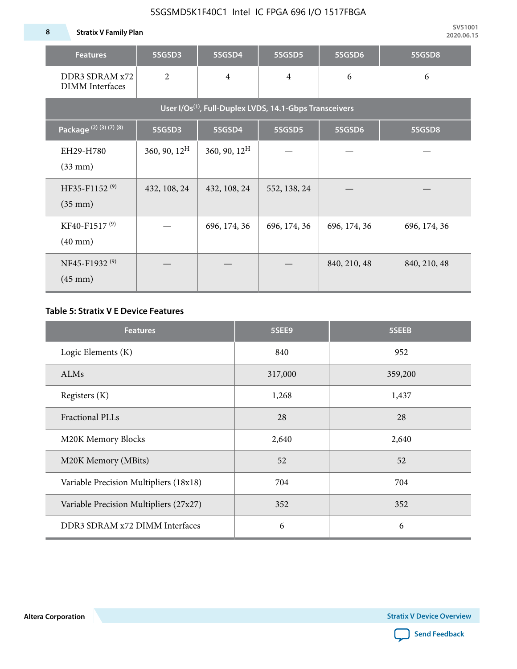**8 Stratix V Family Plan**

| <b>Features</b>                                | 5SGSD3                   | 5SGSD4          | 5SGSD5                                                              | 5SGSD6       | 5SGSD8       |
|------------------------------------------------|--------------------------|-----------------|---------------------------------------------------------------------|--------------|--------------|
| DDR3 SDRAM x72<br><b>DIMM</b> Interfaces       | $\overline{2}$           | $\overline{4}$  | $\overline{4}$                                                      | 6            | 6            |
|                                                |                          |                 | User I/Os <sup>(1)</sup> , Full-Duplex LVDS, 14.1-Gbps Transceivers |              |              |
| Package (2) (3) (7) (8)                        | 5SGSD3                   | 5SGSD4          | 5SGSD5                                                              | 5SGSD6       | 5SGSD8       |
| EH29-H780<br>$(33$ mm $)$                      | $360, 90, 12^{\text{H}}$ | 360, 90, $12^H$ |                                                                     |              |              |
| HF35-F1152 <sup>(9)</sup><br>$(35 \text{ mm})$ | 432, 108, 24             | 432, 108, 24    | 552, 138, 24                                                        |              |              |
| KF40-F1517 <sup>(9)</sup><br>$(40 \text{ mm})$ |                          | 696, 174, 36    | 696, 174, 36                                                        | 696, 174, 36 | 696, 174, 36 |
| NF45-F1932 <sup>(9)</sup><br>$(45 \text{ mm})$ |                          |                 |                                                                     | 840, 210, 48 | 840, 210, 48 |

### **Table 5: Stratix V E Device Features**

| <b>Features</b>                        | 5SEE9   | 5SEEB   |
|----------------------------------------|---------|---------|
| Logic Elements (K)                     | 840     | 952     |
| ALMs                                   | 317,000 | 359,200 |
| Registers (K)                          | 1,268   | 1,437   |
| <b>Fractional PLLs</b>                 | 28      | 28      |
| M20K Memory Blocks                     | 2,640   | 2,640   |
| M20K Memory (MBits)                    | 52      | 52      |
| Variable Precision Multipliers (18x18) | 704     | 704     |
| Variable Precision Multipliers (27x27) | 352     | 352     |
| DDR3 SDRAM x72 DIMM Interfaces         | 6       | 6       |

**Altera Corporation** 

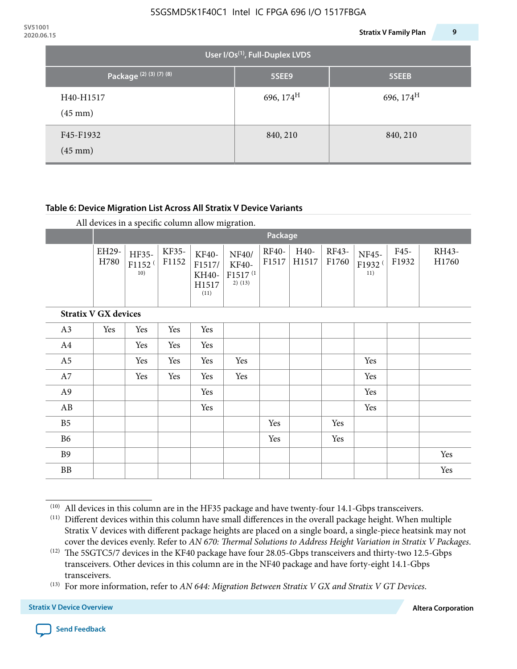| 2020.06.15 |                                  |                                       | <b>Stratix V Family Plan</b> | 9 |
|------------|----------------------------------|---------------------------------------|------------------------------|---|
|            |                                  | User I/Os $^{(1)}$ , Full-Duplex LVDS |                              |   |
|            | Package <sup>(2)</sup> (3)(7)(8) | 5SEE9                                 | 5SEEB                        |   |
|            | H40-H1517<br>$(45 \text{ mm})$   | 696, $174^{\text{H}}$                 | 696, $174^H$                 |   |
|            | F45-F1932<br>$(45 \text{ mm})$   | 840, 210                              | 840, 210                     |   |

### **Table 6: Device Migration List Across All Stratix V Device Variants**

|  |  | All devices in a specific column allow migration. |
|--|--|---------------------------------------------------|
|--|--|---------------------------------------------------|

|                             |               | Package                            |                |                                           |                                                    |                       |               |                |                                    |               |                |
|-----------------------------|---------------|------------------------------------|----------------|-------------------------------------------|----------------------------------------------------|-----------------------|---------------|----------------|------------------------------------|---------------|----------------|
|                             | EH29-<br>H780 | HF35-<br>F1152 <sup>(</sup><br>10) | KF35-<br>F1152 | KF40-<br>F1517/<br>KH40-<br>H1517<br>(11) | NF40/<br>KF40-<br>F1517 <sup>(1</sup><br>$2)$ (13) | <b>RF40-</b><br>F1517 | H40-<br>H1517 | RF43-<br>F1760 | NF45-<br>F1932 <sup>(</sup><br>11) | F45-<br>F1932 | RH43-<br>H1760 |
| <b>Stratix V GX devices</b> |               |                                    |                |                                           |                                                    |                       |               |                |                                    |               |                |
| A3                          | Yes           | Yes                                | Yes            | Yes                                       |                                                    |                       |               |                |                                    |               |                |
| A4                          |               | Yes                                | Yes            | Yes                                       |                                                    |                       |               |                |                                    |               |                |
| A <sub>5</sub>              |               | Yes                                | Yes            | Yes                                       | Yes                                                |                       |               |                | Yes                                |               |                |
| A7                          |               | Yes                                | Yes            | Yes                                       | Yes                                                |                       |               |                | Yes                                |               |                |
| A9                          |               |                                    |                | Yes                                       |                                                    |                       |               |                | Yes                                |               |                |
| AB                          |               |                                    |                | Yes                                       |                                                    |                       |               |                | Yes                                |               |                |
| B <sub>5</sub>              |               |                                    |                |                                           |                                                    | Yes                   |               | Yes            |                                    |               |                |
| <b>B6</b>                   |               |                                    |                |                                           |                                                    | Yes                   |               | Yes            |                                    |               |                |
| <b>B9</b>                   |               |                                    |                |                                           |                                                    |                       |               |                |                                    |               | Yes            |
| <b>BB</b>                   |               |                                    |                |                                           |                                                    |                       |               |                |                                    |               | Yes            |

 $(10)$  All devices in this column are in the HF35 package and have twenty-four 14.1-Gbps transceivers.

<sup>(11)</sup> Different devices within this column have small differences in the overall package height. When multiple Stratix V devices with different package heights are placed on a single board, a single-piece heatsink may not cover the devices evenly. Refer to *AN 670: Thermal Solutions to Address Height Variation in Stratix V Packages*.

<sup>(12)</sup> The 5SGTC5/7 devices in the KF40 package have four 28.05-Gbps transceivers and thirty-two 12.5-Gbps transceivers. Other devices in this column are in the NF40 package and have forty-eight 14.1-Gbps transceivers.

<sup>(13)</sup> For more information, refer to *AN 644: Migration Between Stratix V GX and Stratix V GT Devices*.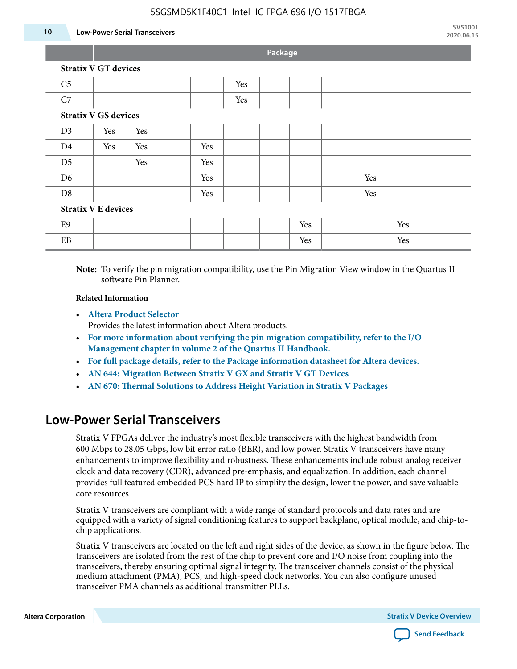#### **10 Low-Power Serial Transceivers**

**Package**

| C <sub>5</sub>              |     |     |  |     | Yes |  |     |     |     |  |
|-----------------------------|-----|-----|--|-----|-----|--|-----|-----|-----|--|
| C7                          |     |     |  |     | Yes |  |     |     |     |  |
| <b>Stratix V GS devices</b> |     |     |  |     |     |  |     |     |     |  |
| D <sub>3</sub>              | Yes | Yes |  |     |     |  |     |     |     |  |
| D <sub>4</sub>              | Yes | Yes |  | Yes |     |  |     |     |     |  |
| D <sub>5</sub>              |     | Yes |  | Yes |     |  |     |     |     |  |
| D <sub>6</sub>              |     |     |  | Yes |     |  |     | Yes |     |  |
| D <sub>8</sub>              |     |     |  | Yes |     |  |     | Yes |     |  |
| <b>Stratix V E devices</b>  |     |     |  |     |     |  |     |     |     |  |
| E9                          |     |     |  |     |     |  | Yes |     | Yes |  |
| EB                          |     |     |  |     |     |  | Yes |     | Yes |  |

**Note:** To verify the pin migration compatibility, use the Pin Migration View window in the Quartus II software Pin Planner.

#### **Related Information**

• **[Altera Product Selector](http://www.altera.com/products/selector/psg-selector.html#)**

Provides the latest information about Altera products.

- **[For more information about verifying the pin migration compatibility, refer to the I/O](http://www.altera.com/literature/hb/qts/qts_qii52013.pdf) [Management chapter in volume 2 of the Quartus II Handbook.](http://www.altera.com/literature/hb/qts/qts_qii52013.pdf)**
- **[For full package details, refer to the Package information datasheet for Altera devices.](http://www.altera.com/support/devices/packaging/specifications/pkg-pin/spe-index.jsp)**
- **[AN 644: Migration Between Stratix V GX and Stratix V GT Devices](http://www.altera.com/literature/an/an644.pdf)**
- **[AN 670: Thermal Solutions to Address Height Variation in Stratix V Packages](http://www.altera.com/literature/an/an670.pdf)**

# **Low-Power Serial Transceivers**

Stratix V FPGAs deliver the industry's most flexible transceivers with the highest bandwidth from 600 Mbps to 28.05 Gbps, low bit error ratio (BER), and low power. Stratix V transceivers have many enhancements to improve flexibility and robustness. These enhancements include robust analog receiver clock and data recovery (CDR), advanced pre-emphasis, and equalization. In addition, each channel provides full featured embedded PCS hard IP to simplify the design, lower the power, and save valuable core resources.

Stratix V transceivers are compliant with a wide range of standard protocols and data rates and are equipped with a variety of signal conditioning features to support backplane, optical module, and chip-tochip applications.

Stratix V transceivers are located on the left and right sides of the device, as shown in the figure below. The transceivers are isolated from the rest of the chip to prevent core and I/O noise from coupling into the transceivers, thereby ensuring optimal signal integrity. The transceiver channels consist of the physical medium attachment (PMA), PCS, and high-speed clock networks. You can also configure unused transceiver PMA channels as additional transmitter PLLs.

**Altera Corporation Stratix V Device Overview**

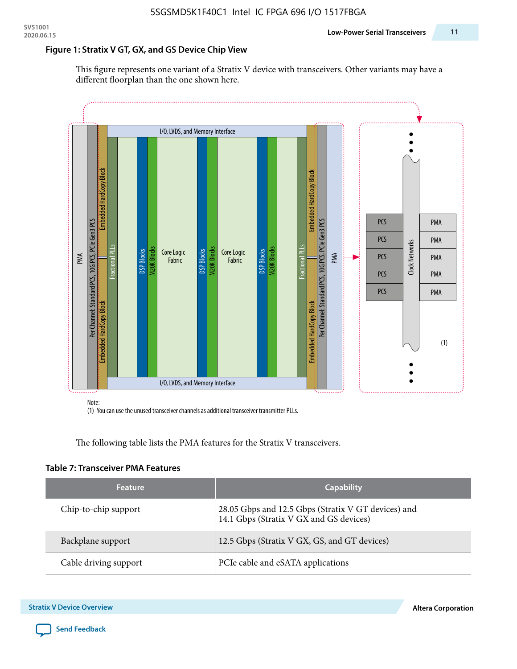### **Figure 1: Stratix V GT, GX, and GS Device Chip View**

This figure represents one variant of a Stratix V device with transceivers. Other variants may have a different floorplan than the one shown here.



(1) You can use the unused transceiver channels as additional transceiver transmitter PLLs.

The following table lists the PMA features for the Stratix V transceivers.

#### **Table 7: Transceiver PMA Features**

| <b>Feature</b>        | <b>Capability</b>                                                                              |
|-----------------------|------------------------------------------------------------------------------------------------|
| Chip-to-chip support  | 28.05 Gbps and 12.5 Gbps (Stratix V GT devices) and<br>14.1 Gbps (Stratix V GX and GS devices) |
| Backplane support     | 12.5 Gbps (Stratix V GX, GS, and GT devices)                                                   |
| Cable driving support | PCIe cable and eSATA applications                                                              |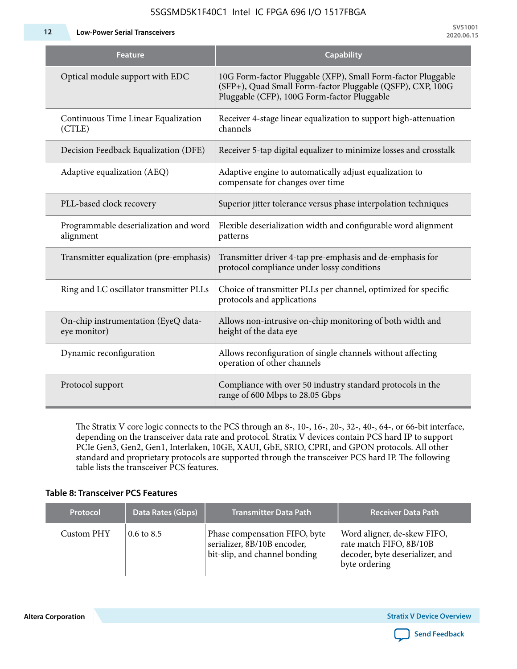| <b>Feature</b>                                      | <b>Capability</b>                                                                                                                                                         |
|-----------------------------------------------------|---------------------------------------------------------------------------------------------------------------------------------------------------------------------------|
| Optical module support with EDC                     | 10G Form-factor Pluggable (XFP), Small Form-factor Pluggable<br>(SFP+), Quad Small Form-factor Pluggable (QSFP), CXP, 100G<br>Pluggable (CFP), 100G Form-factor Pluggable |
| Continuous Time Linear Equalization<br>(CTLE)       | Receiver 4-stage linear equalization to support high-attenuation<br>channels                                                                                              |
| Decision Feedback Equalization (DFE)                | Receiver 5-tap digital equalizer to minimize losses and crosstalk                                                                                                         |
| Adaptive equalization (AEQ)                         | Adaptive engine to automatically adjust equalization to<br>compensate for changes over time                                                                               |
| PLL-based clock recovery                            | Superior jitter tolerance versus phase interpolation techniques                                                                                                           |
| Programmable deserialization and word<br>alignment  | Flexible deserialization width and configurable word alignment<br>patterns                                                                                                |
| Transmitter equalization (pre-emphasis)             | Transmitter driver 4-tap pre-emphasis and de-emphasis for<br>protocol compliance under lossy conditions                                                                   |
| Ring and LC oscillator transmitter PLLs             | Choice of transmitter PLLs per channel, optimized for specific<br>protocols and applications                                                                              |
| On-chip instrumentation (EyeQ data-<br>eye monitor) | Allows non-intrusive on-chip monitoring of both width and<br>height of the data eye                                                                                       |
| Dynamic reconfiguration                             | Allows reconfiguration of single channels without affecting<br>operation of other channels                                                                                |
| Protocol support                                    | Compliance with over 50 industry standard protocols in the<br>range of 600 Mbps to 28.05 Gbps                                                                             |

The Stratix V core logic connects to the PCS through an 8-, 10-, 16-, 20-, 32-, 40-, 64-, or 66-bit interface, depending on the transceiver data rate and protocol. Stratix V devices contain PCS hard IP to support PCIe Gen3, Gen2, Gen1, Interlaken, 10GE, XAUI, GbE, SRIO, CPRI, and GPON protocols. All other standard and proprietary protocols are supported through the transceiver PCS hard IP. The following table lists the transceiver PCS features.

### **Table 8: Transceiver PCS Features**

| <b>Protocol</b> | Data Rates (Gbps)     | <b>Transmitter Data Path</b>                                                                  | <b>Receiver Data Path</b>                                                                                  |
|-----------------|-----------------------|-----------------------------------------------------------------------------------------------|------------------------------------------------------------------------------------------------------------|
| Custom PHY      | $0.6 \text{ to } 8.5$ | Phase compensation FIFO, byte<br>serializer, 8B/10B encoder,<br>bit-slip, and channel bonding | Word aligner, de-skew FIFO,<br>rate match FIFO, 8B/10B<br>decoder, byte deserializer, and<br>byte ordering |

**Altera Corporation** 

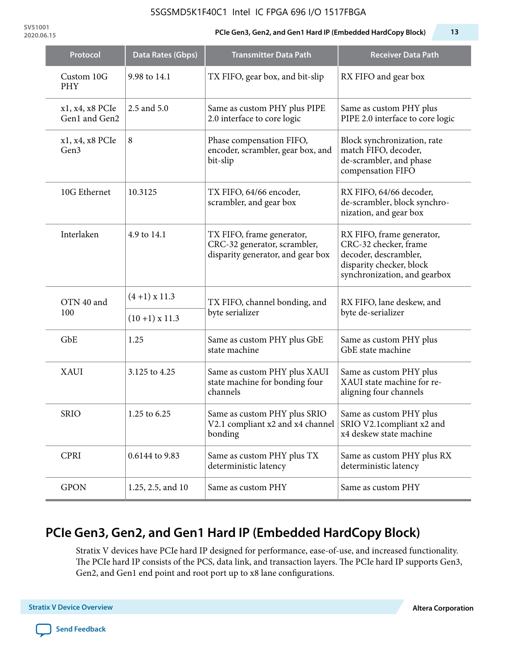**SV51001**

### **2020.06.15 PCIe Gen3, Gen2, and Gen1 Hard IP (Embedded HardCopy Block) 13**

| Protocol                         | Data Rates (Gbps)                 | <b>Transmitter Data Path</b>                                                                   | <b>Receiver Data Path</b>                                                                                                               |  |  |
|----------------------------------|-----------------------------------|------------------------------------------------------------------------------------------------|-----------------------------------------------------------------------------------------------------------------------------------------|--|--|
| Custom 10G<br><b>PHY</b>         | 9.98 to 14.1                      | TX FIFO, gear box, and bit-slip                                                                | RX FIFO and gear box                                                                                                                    |  |  |
| x1, x4, x8 PCIe<br>Gen1 and Gen2 | 2.5 and 5.0                       | Same as custom PHY plus PIPE<br>2.0 interface to core logic                                    | Same as custom PHY plus<br>PIPE 2.0 interface to core logic                                                                             |  |  |
| x1, x4, x8 PCIe<br>Gen3          | 8                                 | Phase compensation FIFO,<br>encoder, scrambler, gear box, and<br>bit-slip                      | Block synchronization, rate<br>match FIFO, decoder,<br>de-scrambler, and phase<br>compensation FIFO                                     |  |  |
| 10G Ethernet                     | 10.3125                           | TX FIFO, 64/66 encoder,<br>scrambler, and gear box                                             | RX FIFO, 64/66 decoder,<br>de-scrambler, block synchro-<br>nization, and gear box                                                       |  |  |
| Interlaken                       | 4.9 to 14.1                       | TX FIFO, frame generator,<br>CRC-32 generator, scrambler,<br>disparity generator, and gear box | RX FIFO, frame generator,<br>CRC-32 checker, frame<br>decoder, descrambler,<br>disparity checker, block<br>synchronization, and gearbox |  |  |
| OTN 40 and<br>100                | $(4+1)$ x 11.3<br>$(10+1)$ x 11.3 | TX FIFO, channel bonding, and<br>byte serializer                                               | RX FIFO, lane deskew, and<br>byte de-serializer                                                                                         |  |  |
|                                  |                                   |                                                                                                |                                                                                                                                         |  |  |
| GbE                              | 1.25                              | Same as custom PHY plus GbE<br>state machine                                                   | Same as custom PHY plus<br>GbE state machine                                                                                            |  |  |
| <b>XAUI</b>                      | 3.125 to 4.25                     | Same as custom PHY plus XAUI<br>state machine for bonding four<br>channels                     | Same as custom PHY plus<br>XAUI state machine for re-<br>aligning four channels                                                         |  |  |
| <b>SRIO</b>                      | 1.25 to 6.25                      | Same as custom PHY plus SRIO<br>V2.1 compliant x2 and x4 channel<br>bonding                    | Same as custom PHY plus<br>SRIO V2.1compliant x2 and<br>x4 deskew state machine                                                         |  |  |
| <b>CPRI</b>                      | 0.6144 to 9.83                    | Same as custom PHY plus TX<br>deterministic latency                                            | Same as custom PHY plus RX<br>deterministic latency                                                                                     |  |  |
| <b>GPON</b>                      | 1.25, 2.5, and 10                 | Same as custom PHY                                                                             | Same as custom PHY                                                                                                                      |  |  |

# **PCIe Gen3, Gen2, and Gen1 Hard IP (Embedded HardCopy Block)**

Stratix V devices have PCIe hard IP designed for performance, ease-of-use, and increased functionality. The PCIe hard IP consists of the PCS, data link, and transaction layers. The PCIe hard IP supports Gen3, Gen2, and Gen1 end point and root port up to x8 lane configurations.

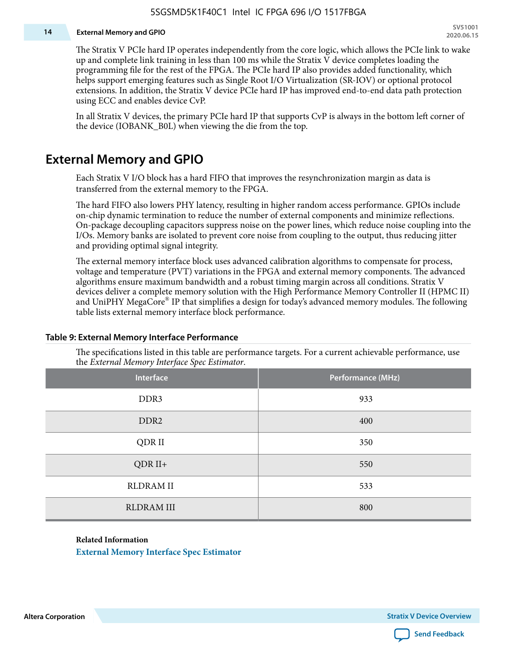#### **14 External Memory and GPIO**

The Stratix V PCIe hard IP operates independently from the core logic, which allows the PCIe link to wake up and complete link training in less than 100 ms while the Stratix V device completes loading the programming file for the rest of the FPGA. The PCIe hard IP also provides added functionality, which helps support emerging features such as Single Root I/O Virtualization (SR-IOV) or optional protocol extensions. In addition, the Stratix V device PCIe hard IP has improved end-to-end data path protection using ECC and enables device CvP.

In all Stratix V devices, the primary PCIe hard IP that supports CvP is always in the bottom left corner of the device (IOBANK\_B0L) when viewing the die from the top.

### **External Memory and GPIO**

Each Stratix V I/O block has a hard FIFO that improves the resynchronization margin as data is transferred from the external memory to the FPGA.

The hard FIFO also lowers PHY latency, resulting in higher random access performance. GPIOs include on-chip dynamic termination to reduce the number of external components and minimize reflections. On-package decoupling capacitors suppress noise on the power lines, which reduce noise coupling into the I/Os. Memory banks are isolated to prevent core noise from coupling to the output, thus reducing jitter and providing optimal signal integrity.

The external memory interface block uses advanced calibration algorithms to compensate for process, voltage and temperature (PVT) variations in the FPGA and external memory components. The advanced algorithms ensure maximum bandwidth and a robust timing margin across all conditions. Stratix V devices deliver a complete memory solution with the High Performance Memory Controller II (HPMC II) and UniPHY MegaCore® IP that simplifies a design for today's advanced memory modules. The following table lists external memory interface block performance.

| Interface         | Performance (MHz) |
|-------------------|-------------------|
| DDR3              | 933               |
| DDR <sub>2</sub>  | 400               |
| QDR II            | 350               |
| $QDR II+$         | 550               |
| <b>RLDRAM II</b>  | 533               |
| <b>RLDRAM III</b> | 800               |

#### **Table 9: External Memory Interface Performance**

The specifications listed in this table are performance targets. For a current achievable performance, use the *External Memory Interface Spec Estimator*.

#### **Related Information**

**[External Memory Interface Spec Estimator](http://www.altera.com/technology/memory/estimator/mem-emif-index.html)**

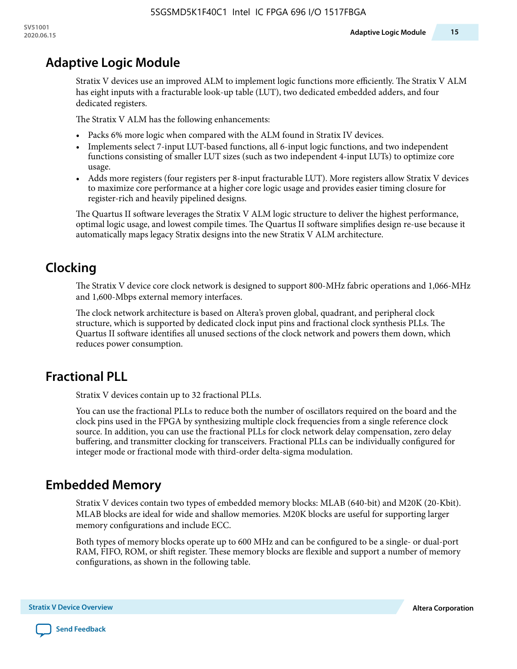# **Adaptive Logic Module**

Stratix V devices use an improved ALM to implement logic functions more efficiently. The Stratix V ALM has eight inputs with a fracturable look-up table (LUT), two dedicated embedded adders, and four dedicated registers.

The Stratix V ALM has the following enhancements:

- Packs 6% more logic when compared with the ALM found in Stratix IV devices.
- Implements select 7-input LUT-based functions, all 6-input logic functions, and two independent functions consisting of smaller LUT sizes (such as two independent 4-input LUTs) to optimize core usage.
- Adds more registers (four registers per 8-input fracturable LUT). More registers allow Stratix V devices to maximize core performance at a higher core logic usage and provides easier timing closure for register-rich and heavily pipelined designs.

The Quartus II software leverages the Stratix V ALM logic structure to deliver the highest performance, optimal logic usage, and lowest compile times. The Quartus II software simplifies design re-use because it automatically maps legacy Stratix designs into the new Stratix V ALM architecture.

# **Clocking**

The Stratix V device core clock network is designed to support 800-MHz fabric operations and 1,066-MHz and 1,600-Mbps external memory interfaces.

The clock network architecture is based on Altera's proven global, quadrant, and peripheral clock structure, which is supported by dedicated clock input pins and fractional clock synthesis PLLs. The Quartus II software identifies all unused sections of the clock network and powers them down, which reduces power consumption.

# **Fractional PLL**

Stratix V devices contain up to 32 fractional PLLs.

You can use the fractional PLLs to reduce both the number of oscillators required on the board and the clock pins used in the FPGA by synthesizing multiple clock frequencies from a single reference clock source. In addition, you can use the fractional PLLs for clock network delay compensation, zero delay buffering, and transmitter clocking for transceivers. Fractional PLLs can be individually configured for integer mode or fractional mode with third-order delta-sigma modulation.

# **Embedded Memory**

Stratix V devices contain two types of embedded memory blocks: MLAB (640-bit) and M20K (20-Kbit). MLAB blocks are ideal for wide and shallow memories. M20K blocks are useful for supporting larger memory configurations and include ECC.

Both types of memory blocks operate up to 600 MHz and can be configured to be a single- or dual-port RAM, FIFO, ROM, or shift register. These memory blocks are flexible and support a number of memory configurations, as shown in the following table.

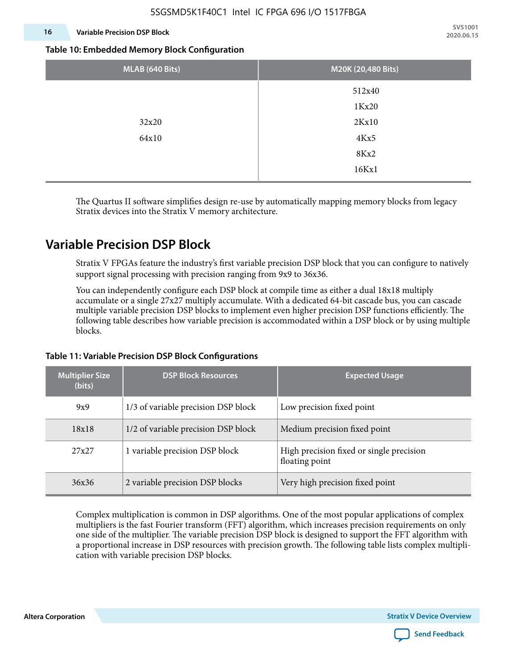### **16 Variable Precision DSP Block**

**SV51001 2020.06.15**

#### **Table 10: Embedded Memory Block Configuration**

| MLAB (640 Bits) | M20K (20,480 Bits) |
|-----------------|--------------------|
|                 | 512x40             |
|                 | 1Kx20              |
| 32x20           | 2Kx10              |
| 64x10           | 4Kx5               |
|                 | 8Kx2               |
|                 | 16Kx1              |

The Quartus II software simplifies design re-use by automatically mapping memory blocks from legacy Stratix devices into the Stratix V memory architecture.

## **Variable Precision DSP Block**

Stratix V FPGAs feature the industry's first variable precision DSP block that you can configure to natively support signal processing with precision ranging from 9x9 to 36x36.

You can independently configure each DSP block at compile time as either a dual 18x18 multiply accumulate or a single 27x27 multiply accumulate. With a dedicated 64-bit cascade bus, you can cascade multiple variable precision DSP blocks to implement even higher precision DSP functions efficiently. The following table describes how variable precision is accommodated within a DSP block or by using multiple blocks.

| <b>Multiplier Size</b><br>(bits) | <b>DSP Block Resources</b>          | <b>Expected Usage</b>                                      |
|----------------------------------|-------------------------------------|------------------------------------------------------------|
| 9x9                              | 1/3 of variable precision DSP block | Low precision fixed point                                  |
| 18x18                            | 1/2 of variable precision DSP block | Medium precision fixed point                               |
| 27x27                            | 1 variable precision DSP block      | High precision fixed or single precision<br>floating point |
| 36x36                            | 2 variable precision DSP blocks     | Very high precision fixed point                            |

### **Table 11: Variable Precision DSP Block Configurations**

Complex multiplication is common in DSP algorithms. One of the most popular applications of complex multipliers is the fast Fourier transform (FFT) algorithm, which increases precision requirements on only one side of the multiplier. The variable precision DSP block is designed to support the FFT algorithm with a proportional increase in DSP resources with precision growth. The following table lists complex multipli‐ cation with variable precision DSP blocks.

**Altera Corporation** 

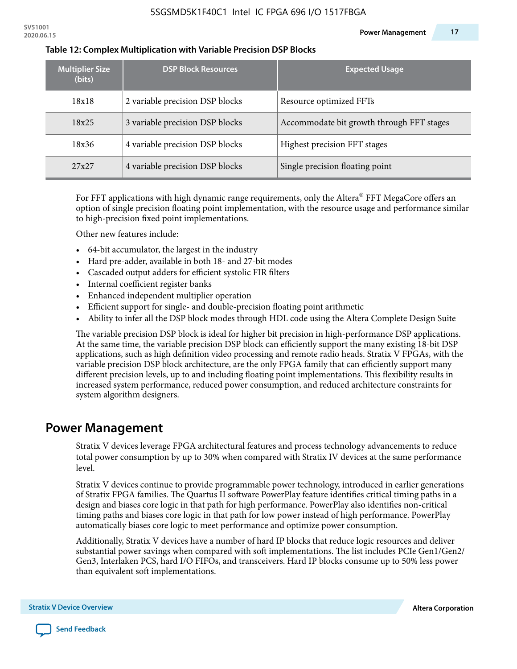| <b>Multiplier Size</b><br>(bits) | <b>DSP Block Resources</b>      | <b>Expected Usage</b>                     |
|----------------------------------|---------------------------------|-------------------------------------------|
| 18x18                            | 2 variable precision DSP blocks | Resource optimized FFTs                   |
| 18x25                            | 3 variable precision DSP blocks | Accommodate bit growth through FFT stages |
| 18x36                            | 4 variable precision DSP blocks | Highest precision FFT stages              |
| 27x27                            | 4 variable precision DSP blocks | Single precision floating point           |

#### **Table 12: Complex Multiplication with Variable Precision DSP Blocks**

For FFT applications with high dynamic range requirements, only the Altera $^\circ$  FFT MegaCore offers an option of single precision floating point implementation, with the resource usage and performance similar to high-precision fixed point implementations.

Other new features include:

- 64-bit accumulator, the largest in the industry
- Hard pre-adder, available in both 18- and 27-bit modes
- Cascaded output adders for efficient systolic FIR filters
- Internal coefficient register banks
- Enhanced independent multiplier operation
- Efficient support for single- and double-precision floating point arithmetic
- Ability to infer all the DSP block modes through HDL code using the Altera Complete Design Suite

The variable precision DSP block is ideal for higher bit precision in high-performance DSP applications. At the same time, the variable precision DSP block can efficiently support the many existing 18-bit DSP applications, such as high definition video processing and remote radio heads. Stratix V FPGAs, with the variable precision DSP block architecture, are the only FPGA family that can efficiently support many different precision levels, up to and including floating point implementations. This flexibility results in increased system performance, reduced power consumption, and reduced architecture constraints for system algorithm designers.

### **Power Management**

Stratix V devices leverage FPGA architectural features and process technology advancements to reduce total power consumption by up to 30% when compared with Stratix IV devices at the same performance level.

Stratix V devices continue to provide programmable power technology, introduced in earlier generations of Stratix FPGA families. The Quartus II software PowerPlay feature identifies critical timing paths in a design and biases core logic in that path for high performance. PowerPlay also identifies non-critical timing paths and biases core logic in that path for low power instead of high performance. PowerPlay automatically biases core logic to meet performance and optimize power consumption.

Additionally, Stratix V devices have a number of hard IP blocks that reduce logic resources and deliver substantial power savings when compared with soft implementations. The list includes PCIe Gen1/Gen2/ Gen3, Interlaken PCS, hard I/O FIFOs, and transceivers. Hard IP blocks consume up to 50% less power than equivalent soft implementations.

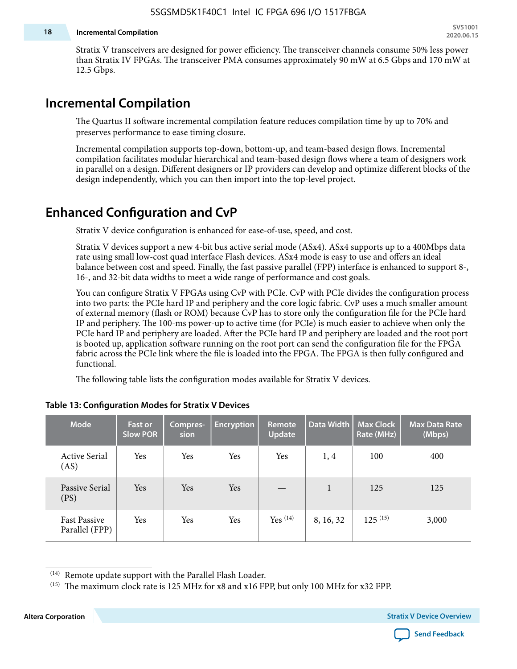#### **18 Incremental Compilation**

Stratix V transceivers are designed for power efficiency. The transceiver channels consume 50% less power than Stratix IV FPGAs. The transceiver PMA consumes approximately 90 mW at 6.5 Gbps and 170 mW at 12.5 Gbps.

# **Incremental Compilation**

The Quartus II software incremental compilation feature reduces compilation time by up to 70% and preserves performance to ease timing closure.

Incremental compilation supports top-down, bottom-up, and team-based design flows. Incremental compilation facilitates modular hierarchical and team-based design flows where a team of designers work in parallel on a design. Different designers or IP providers can develop and optimize different blocks of the design independently, which you can then import into the top-level project.

# **Enhanced Configuration and CvP**

Stratix V device configuration is enhanced for ease-of-use, speed, and cost.

Stratix V devices support a new 4-bit bus active serial mode (ASx4). ASx4 supports up to a 400Mbps data rate using small low-cost quad interface Flash devices. ASx4 mode is easy to use and offers an ideal balance between cost and speed. Finally, the fast passive parallel (FPP) interface is enhanced to support 8-, 16-, and 32-bit data widths to meet a wide range of performance and cost goals.

You can configure Stratix V FPGAs using CvP with PCIe. CvP with PCIe divides the configuration process into two parts: the PCIe hard IP and periphery and the core logic fabric. CvP uses a much smaller amount of external memory (flash or ROM) because CvP has to store only the configuration file for the PCIe hard IP and periphery. The 100-ms power-up to active time (for PCIe) is much easier to achieve when only the PCIe hard IP and periphery are loaded. After the PCIe hard IP and periphery are loaded and the root port is booted up, application software running on the root port can send the configuration file for the FPGA fabric across the PCIe link where the file is loaded into the FPGA. The FPGA is then fully configured and functional.

The following table lists the configuration modes available for Stratix V devices.

| <b>Mode</b>                           | <b>Fast or</b><br><b>Slow POR</b> | Compres-<br>sion | <b>Encryption</b> | Remote<br><b>Update</b> | Data Width | <b>Max Clock</b><br>Rate (MHz) | <b>Max Data Rate</b><br>(Mbps) |
|---------------------------------------|-----------------------------------|------------------|-------------------|-------------------------|------------|--------------------------------|--------------------------------|
| <b>Active Serial</b><br>(AS)          | Yes                               | Yes              | Yes               | Yes                     | 1, 4       | 100                            | 400                            |
| Passive Serial<br>(PS)                | Yes                               | Yes              | Yes               |                         | 1          | 125                            | 125                            |
| <b>Fast Passive</b><br>Parallel (FPP) | Yes                               | Yes              | Yes               | $Yes$ $(14)$            | 8, 16, 32  | $125^{(15)}$                   | 3,000                          |

### **Table 13: Configuration Modes for Stratix V Devices**

**Altera Corporation Stratix V Device Overview**



<sup>(14)</sup> Remote update support with the Parallel Flash Loader.

<sup>&</sup>lt;sup>(15)</sup> The maximum clock rate is 125 MHz for x8 and x16 FPP, but only 100 MHz for x32 FPP.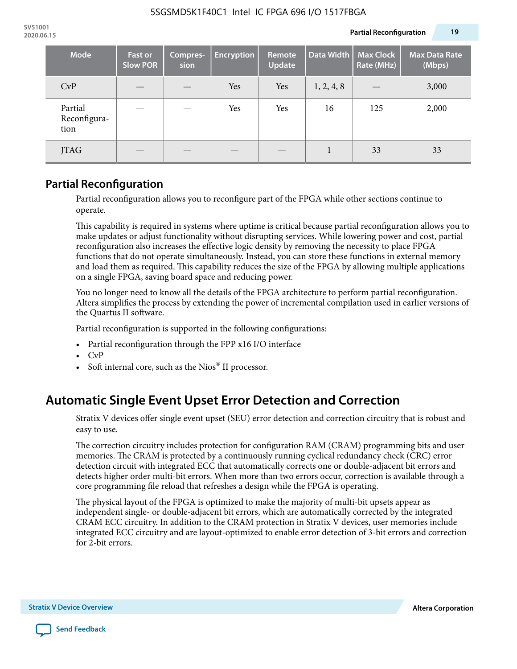| <b>Mode</b>                     | <b>Fast or</b><br><b>Slow POR</b> | Compres-<br>sion | <b>Encryption</b> | Remote<br>Update | Data Width | <b>Max Clock</b><br>Rate (MHz) | <b>Max Data Rate</b><br>(Mbps) |
|---------------------------------|-----------------------------------|------------------|-------------------|------------------|------------|--------------------------------|--------------------------------|
| CvP                             |                                   |                  | Yes               | Yes              | 1, 2, 4, 8 |                                | 3,000                          |
| Partial<br>Reconfigura-<br>tion |                                   |                  | Yes               | Yes              | 16         | 125                            | 2,000                          |
| JTAG                            |                                   |                  |                   |                  |            | 33                             | 33                             |

### **Partial Reconfiguration**

Partial reconfiguration allows you to reconfigure part of the FPGA while other sections continue to operate.

This capability is required in systems where uptime is critical because partial reconfiguration allows you to make updates or adjust functionality without disrupting services. While lowering power and cost, partial reconfiguration also increases the effective logic density by removing the necessity to place FPGA functions that do not operate simultaneously. Instead, you can store these functions in external memory and load them as required. This capability reduces the size of the FPGA by allowing multiple applications on a single FPGA, saving board space and reducing power.

You no longer need to know all the details of the FPGA architecture to perform partial reconfiguration. Altera simplifies the process by extending the power of incremental compilation used in earlier versions of the Quartus II software.

Partial reconfiguration is supported in the following configurations:

- Partial reconfiguration through the FPP x16 I/O interface
- CvP
- Soft internal core, such as the Nios® II processor.

# **Automatic Single Event Upset Error Detection and Correction**

Stratix V devices offer single event upset (SEU) error detection and correction circuitry that is robust and easy to use.

The correction circuitry includes protection for configuration RAM (CRAM) programming bits and user memories. The CRAM is protected by a continuously running cyclical redundancy check (CRC) error detection circuit with integrated ECC that automatically corrects one or double-adjacent bit errors and detects higher order multi-bit errors. When more than two errors occur, correction is available through a core programming file reload that refreshes a design while the FPGA is operating.

The physical layout of the FPGA is optimized to make the majority of multi-bit upsets appear as independent single- or double-adjacent bit errors, which are automatically corrected by the integrated CRAM ECC circuitry. In addition to the CRAM protection in Stratix V devices, user memories include integrated ECC circuitry and are layout-optimized to enable error detection of 3-bit errors and correction for 2-bit errors.

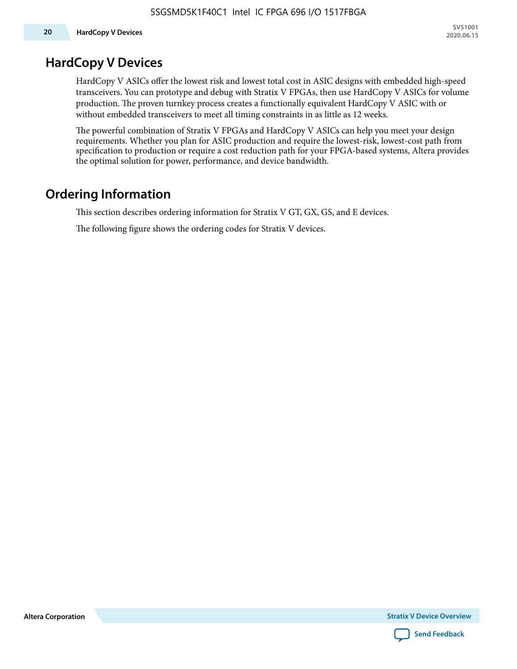# **HardCopy V Devices**

HardCopy V ASICs offer the lowest risk and lowest total cost in ASIC designs with embedded high-speed transceivers. You can prototype and debug with Stratix V FPGAs, then use HardCopy V ASICs for volume production. The proven turnkey process creates a functionally equivalent HardCopy V ASIC with or without embedded transceivers to meet all timing constraints in as little as 12 weeks.

The powerful combination of Stratix V FPGAs and HardCopy V ASICs can help you meet your design requirements. Whether you plan for ASIC production and require the lowest-risk, lowest-cost path from specification to production or require a cost reduction path for your FPGA-based systems, Altera provides the optimal solution for power, performance, and device bandwidth.

# **Ordering Information**

This section describes ordering information for Stratix V GT, GX, GS, and E devices.

The following figure shows the ordering codes for Stratix V devices.

**Altera Corporation** 

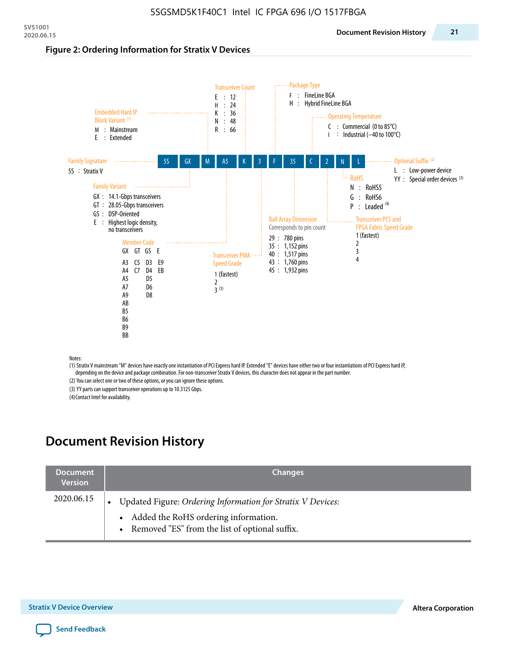#### **Figure 2: Ordering Information for Stratix V Devices**



(1) Stratix V mainstream "M" devices have exactly one instantiation of PCI Express hard IP. Extended "E" devices have either two or four instantiations of PCI Express hard IP, depending on the device and package combination. For non-transceiver Stratix V devices, this character does not appear in the part number.

(2) You can select one or two of these options, or you can ignore these options.

(3) YY parts can support transceiver operations up to 10.3125 Gbps.

(4) Contact Intel for availability.

# **Document Revision History**

| <b>Document</b><br><b>Version</b> | <b>Changes</b>                                                                                                                                            |
|-----------------------------------|-----------------------------------------------------------------------------------------------------------------------------------------------------------|
| 2020.06.15                        | Updated Figure: Ordering Information for Stratix V Devices:<br>• Added the RoHS ordering information.<br>• Removed "ES" from the list of optional suffix. |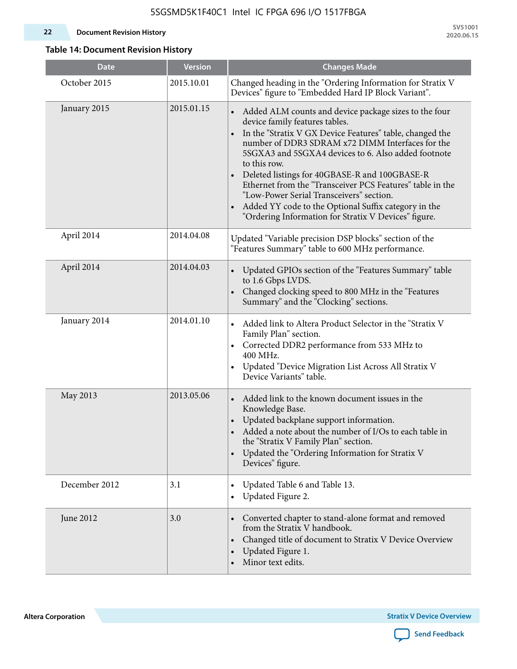### **22 Document Revision History**

**SV51001 2020.06.15**

### **Table 14: Document Revision History**

| <b>Date</b>   | <b>Version</b> | <b>Changes Made</b>                                                                                                                                                                                                                                                                                                                                                                                                                                                                                                                                                   |
|---------------|----------------|-----------------------------------------------------------------------------------------------------------------------------------------------------------------------------------------------------------------------------------------------------------------------------------------------------------------------------------------------------------------------------------------------------------------------------------------------------------------------------------------------------------------------------------------------------------------------|
| October 2015  | 2015.10.01     | Changed heading in the "Ordering Information for Stratix V<br>Devices" figure to "Embedded Hard IP Block Variant".                                                                                                                                                                                                                                                                                                                                                                                                                                                    |
| January 2015  | 2015.01.15     | Added ALM counts and device package sizes to the four<br>$\bullet$<br>device family features tables.<br>In the "Stratix V GX Device Features" table, changed the<br>number of DDR3 SDRAM x72 DIMM Interfaces for the<br>5SGXA3 and 5SGXA4 devices to 6. Also added footnote<br>to this row.<br>Deleted listings for 40GBASE-R and 100GBASE-R<br>Ethernet from the "Transceiver PCS Features" table in the<br>"Low-Power Serial Transceivers" section.<br>Added YY code to the Optional Suffix category in the<br>"Ordering Information for Stratix V Devices" figure. |
| April 2014    | 2014.04.08     | Updated "Variable precision DSP blocks" section of the<br>"Features Summary" table to 600 MHz performance.                                                                                                                                                                                                                                                                                                                                                                                                                                                            |
| April 2014    | 2014.04.03     | Updated GPIOs section of the "Features Summary" table<br>$\bullet$<br>to 1.6 Gbps LVDS.<br>Changed clocking speed to 800 MHz in the "Features<br>Summary" and the "Clocking" sections.                                                                                                                                                                                                                                                                                                                                                                                |
| January 2014  | 2014.01.10     | Added link to Altera Product Selector in the "Stratix V<br>Family Plan" section.<br>Corrected DDR2 performance from 533 MHz to<br>$\bullet$<br>400 MHz.<br>Updated "Device Migration List Across All Stratix V<br>Device Variants" table.                                                                                                                                                                                                                                                                                                                             |
| May 2013      | 2013.05.06     | Added link to the known document issues in the<br>Knowledge Base.<br>Updated backplane support information.<br>$\bullet$<br>Added a note about the number of I/Os to each table in<br>the "Stratix V Family Plan" section.<br>Updated the "Ordering Information for Stratix V<br>$\bullet$<br>Devices" figure.                                                                                                                                                                                                                                                        |
| December 2012 | 3.1            | Updated Table 6 and Table 13.<br>$\bullet$<br>Updated Figure 2.<br>$\bullet$                                                                                                                                                                                                                                                                                                                                                                                                                                                                                          |
| June 2012     | 3.0            | Converted chapter to stand-alone format and removed<br>$\bullet$<br>from the Stratix V handbook.<br>Changed title of document to Stratix V Device Overview<br>$\bullet$<br>Updated Figure 1.<br>$\bullet$<br>Minor text edits.                                                                                                                                                                                                                                                                                                                                        |

**Altera Corporation** 

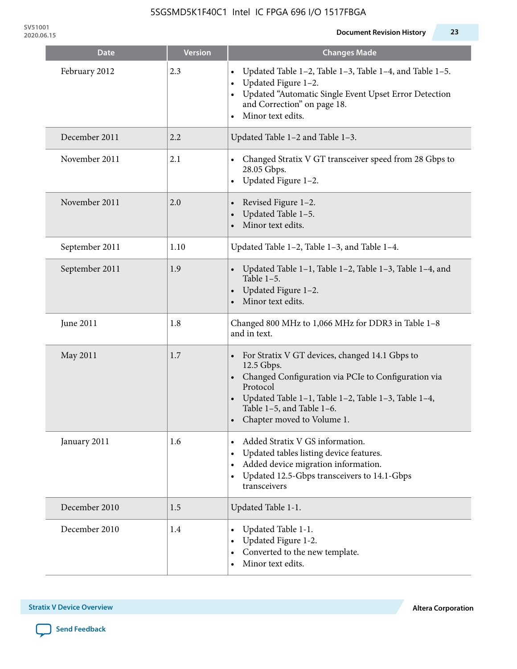| <b>Date</b>    | <b>Version</b> | <b>Changes Made</b>                                                                                                                                                                                                                                                |
|----------------|----------------|--------------------------------------------------------------------------------------------------------------------------------------------------------------------------------------------------------------------------------------------------------------------|
| February 2012  | 2.3            | Updated Table 1-2, Table 1-3, Table 1-4, and Table 1-5.<br>$\bullet$<br>Updated Figure 1-2.<br>$\bullet$<br>Updated "Automatic Single Event Upset Error Detection<br>$\bullet$<br>and Correction" on page 18.<br>Minor text edits.                                 |
| December 2011  | 2.2            | Updated Table 1-2 and Table 1-3.                                                                                                                                                                                                                                   |
| November 2011  | 2.1            | Changed Stratix V GT transceiver speed from 28 Gbps to<br>28.05 Gbps.<br>Updated Figure 1-2.<br>$\bullet$                                                                                                                                                          |
| November 2011  | 2.0            | Revised Figure 1-2.<br>$\bullet$<br>Updated Table 1-5.<br>Minor text edits.                                                                                                                                                                                        |
| September 2011 | 1.10           | Updated Table 1-2, Table 1-3, and Table 1-4.                                                                                                                                                                                                                       |
| September 2011 | 1.9            | Updated Table 1-1, Table 1-2, Table 1-3, Table 1-4, and<br>Table $1-5$ .<br>Updated Figure 1-2.<br>$\bullet$<br>Minor text edits.                                                                                                                                  |
| June 2011      | 1.8            | Changed 800 MHz to 1,066 MHz for DDR3 in Table 1-8<br>and in text.                                                                                                                                                                                                 |
| May 2011       | 1.7            | For Stratix V GT devices, changed 14.1 Gbps to<br>12.5 Gbps.<br>• Changed Configuration via PCIe to Configuration via<br>Protocol<br>Updated Table 1-1, Table 1-2, Table 1-3, Table 1-4,<br>$\bullet$<br>Table 1-5, and Table 1-6.<br>• Chapter moved to Volume 1. |
| January 2011   | 1.6            | Added Stratix V GS information.<br>$\bullet$<br>Updated tables listing device features.<br>$\bullet$<br>Added device migration information.<br>٠<br>Updated 12.5-Gbps transceivers to 14.1-Gbps<br>$\bullet$<br>transceivers                                       |
| December 2010  | 1.5            | Updated Table 1-1.                                                                                                                                                                                                                                                 |
| December 2010  | 1.4            | Updated Table 1-1.<br>Updated Figure 1-2.<br>Converted to the new template.<br>$\bullet$<br>Minor text edits.                                                                                                                                                      |

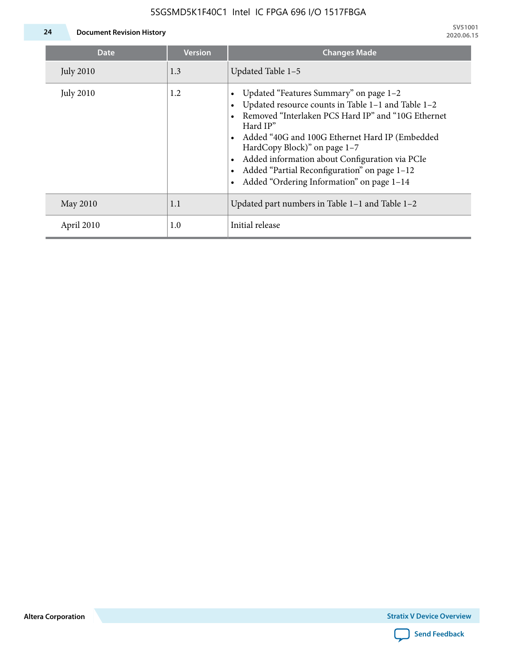

| Date             | <b>Version</b> | <b>Changes Made</b>                                                                                                                                                                                                                                                                                                                                                                             |
|------------------|----------------|-------------------------------------------------------------------------------------------------------------------------------------------------------------------------------------------------------------------------------------------------------------------------------------------------------------------------------------------------------------------------------------------------|
| <b>July 2010</b> | 1.3            | Updated Table 1-5                                                                                                                                                                                                                                                                                                                                                                               |
| <b>July 2010</b> | 1.2            | Updated "Features Summary" on page 1-2<br>Updated resource counts in Table 1-1 and Table 1-2<br>Removed "Interlaken PCS Hard IP" and "10G Ethernet<br>Hard IP"<br>Added "40G and 100G Ethernet Hard IP (Embedded<br>HardCopy Block)" on page 1-7<br>Added information about Configuration via PCIe<br>Added "Partial Reconfiguration" on page 1-12<br>Added "Ordering Information" on page 1-14 |
| May 2010         | 1.1            | Updated part numbers in Table $1-1$ and Table $1-2$                                                                                                                                                                                                                                                                                                                                             |
| April 2010       | 1.0            | Initial release                                                                                                                                                                                                                                                                                                                                                                                 |

**Altera Corporation**